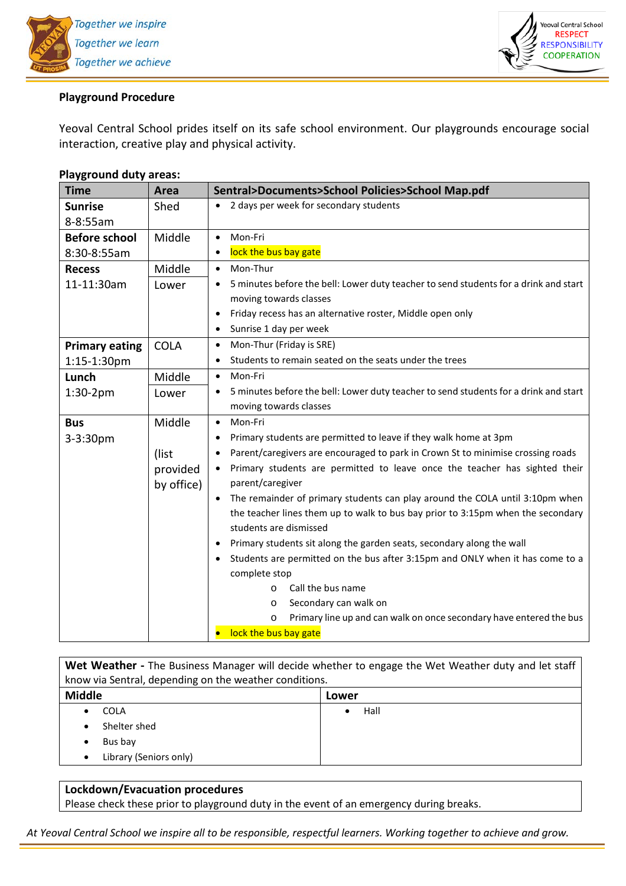

## **Playground Procedure**

Yeoval Central School prides itself on its safe school environment. Our playgrounds encourage social interaction, creative play and physical activity.

| Time                  | Area                   | Sentral>Documents>School Policies>School Map.pdf                                                            |  |  |
|-----------------------|------------------------|-------------------------------------------------------------------------------------------------------------|--|--|
| <b>Sunrise</b>        | Shed                   | 2 days per week for secondary students<br>$\bullet$                                                         |  |  |
| 8-8:55am              |                        |                                                                                                             |  |  |
| <b>Before school</b>  | Middle                 | Mon-Fri<br>$\bullet$                                                                                        |  |  |
| 8:30-8:55am           |                        | lock the bus bay gate<br>$\bullet$                                                                          |  |  |
| <b>Recess</b>         | Middle                 | Mon-Thur<br>$\bullet$                                                                                       |  |  |
| 11-11:30am            | Lower                  | 5 minutes before the bell: Lower duty teacher to send students for a drink and start<br>$\bullet$           |  |  |
|                       |                        | moving towards classes                                                                                      |  |  |
|                       |                        | Friday recess has an alternative roster, Middle open only<br>$\bullet$                                      |  |  |
|                       |                        | Sunrise 1 day per week<br>$\bullet$                                                                         |  |  |
| <b>Primary eating</b> | <b>COLA</b>            | Mon-Thur (Friday is SRE)<br>$\bullet$                                                                       |  |  |
| 1:15-1:30pm           |                        | Students to remain seated on the seats under the trees<br>$\bullet$                                         |  |  |
| Lunch                 | Middle                 | Mon-Fri<br>$\bullet$                                                                                        |  |  |
| $1:30-2pm$            | Lower                  | 5 minutes before the bell: Lower duty teacher to send students for a drink and start<br>$\bullet$           |  |  |
|                       |                        | moving towards classes                                                                                      |  |  |
| <b>Bus</b>            | Middle                 | Mon-Fri<br>$\bullet$                                                                                        |  |  |
| 3-3:30pm              |                        | Primary students are permitted to leave if they walk home at 3pm<br>$\bullet$                               |  |  |
|                       | (list                  | Parent/caregivers are encouraged to park in Crown St to minimise crossing roads<br>$\bullet$                |  |  |
|                       | provided<br>by office) | Primary students are permitted to leave once the teacher has sighted their<br>$\bullet$<br>parent/caregiver |  |  |
|                       |                        | The remainder of primary students can play around the COLA until 3:10pm when<br>$\bullet$                   |  |  |
|                       |                        | the teacher lines them up to walk to bus bay prior to 3:15pm when the secondary                             |  |  |
|                       |                        | students are dismissed                                                                                      |  |  |
|                       |                        | Primary students sit along the garden seats, secondary along the wall<br>$\bullet$                          |  |  |
|                       |                        | Students are permitted on the bus after 3:15pm and ONLY when it has come to a<br>$\bullet$                  |  |  |
|                       |                        | complete stop                                                                                               |  |  |
|                       |                        | Call the bus name<br>$\circ$                                                                                |  |  |
|                       |                        | Secondary can walk on<br>$\circ$                                                                            |  |  |
|                       |                        | Primary line up and can walk on once secondary have entered the bus<br>$\circ$                              |  |  |
|                       |                        | lock the bus bay gate                                                                                       |  |  |

## **Playground duty areas:**

| Wet Weather - The Business Manager will decide whether to engage the Wet Weather duty and let staff |       |  |  |
|-----------------------------------------------------------------------------------------------------|-------|--|--|
| know via Sentral, depending on the weather conditions.                                              |       |  |  |
| <b>Middle</b>                                                                                       | Lower |  |  |
| <b>COLA</b>                                                                                         | Hall  |  |  |
| Shelter shed                                                                                        |       |  |  |
| Bus bay<br>٠                                                                                        |       |  |  |
| Library (Seniors only)                                                                              |       |  |  |
|                                                                                                     |       |  |  |

## **Lockdown/Evacuation procedures**

Please check these prior to playground duty in the event of an emergency during breaks.

*At Yeoval Central School we inspire all to be responsible, respectful and cooperative learners. Working together to achieve and grow.*